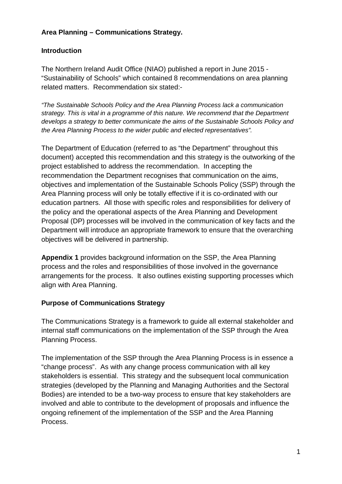## **Area Planning – Communications Strategy.**

#### **Introduction**

The Northern Ireland Audit Office (NIAO) published a report in June 2015 - "Sustainability of Schools" which contained 8 recommendations on area planning related matters. Recommendation six stated:-

*"The Sustainable Schools Policy and the Area Planning Process lack a communication strategy. This is vital in a programme of this nature. We recommend that the Department develops a strategy to better communicate the aims of the Sustainable Schools Policy and the Area Planning Process to the wider public and elected representatives".*

The Department of Education (referred to as "the Department" throughout this document) accepted this recommendation and this strategy is the outworking of the project established to address the recommendation. In accepting the recommendation the Department recognises that communication on the aims, objectives and implementation of the Sustainable Schools Policy (SSP) through the Area Planning process will only be totally effective if it is co-ordinated with our education partners. All those with specific roles and responsibilities for delivery of the policy and the operational aspects of the Area Planning and Development Proposal (DP) processes will be involved in the communication of key facts and the Department will introduce an appropriate framework to ensure that the overarching objectives will be delivered in partnership.

**Appendix 1** provides background information on the SSP, the Area Planning process and the roles and responsibilities of those involved in the governance arrangements for the process. It also outlines existing supporting processes which align with Area Planning.

#### **Purpose of Communications Strategy**

The Communications Strategy is a framework to guide all external stakeholder and internal staff communications on the implementation of the SSP through the Area Planning Process.

The implementation of the SSP through the Area Planning Process is in essence a "change process". As with any change process communication with all key stakeholders is essential. This strategy and the subsequent local communication strategies (developed by the Planning and Managing Authorities and the Sectoral Bodies) are intended to be a two-way process to ensure that key stakeholders are involved and able to contribute to the development of proposals and influence the ongoing refinement of the implementation of the SSP and the Area Planning Process.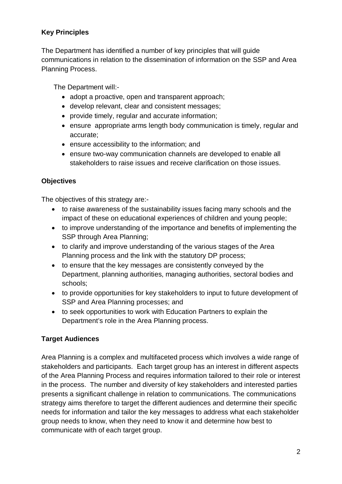## **Key Principles**

The Department has identified a number of key principles that will guide communications in relation to the dissemination of information on the SSP and Area Planning Process.

The Department will:-

- adopt a proactive, open and transparent approach;
- develop relevant, clear and consistent messages;
- provide timely, regular and accurate information;
- ensure appropriate arms length body communication is timely, regular and accurate;
- ensure accessibility to the information; and
- ensure two-way communication channels are developed to enable all stakeholders to raise issues and receive clarification on those issues.

## **Objectives**

The objectives of this strategy are:-

- to raise awareness of the sustainability issues facing many schools and the impact of these on educational experiences of children and young people;
- to improve understanding of the importance and benefits of implementing the SSP through Area Planning;
- to clarify and improve understanding of the various stages of the Area Planning process and the link with the statutory DP process;
- to ensure that the key messages are consistently conveyed by the Department, planning authorities, managing authorities, sectoral bodies and schools;
- to provide opportunities for key stakeholders to input to future development of SSP and Area Planning processes; and
- to seek opportunities to work with Education Partners to explain the Department's role in the Area Planning process.

## **Target Audiences**

Area Planning is a complex and multifaceted process which involves a wide range of stakeholders and participants. Each target group has an interest in different aspects of the Area Planning Process and requires information tailored to their role or interest in the process. The number and diversity of key stakeholders and interested parties presents a significant challenge in relation to communications. The communications strategy aims therefore to target the different audiences and determine their specific needs for information and tailor the key messages to address what each stakeholder group needs to know, when they need to know it and determine how best to communicate with of each target group.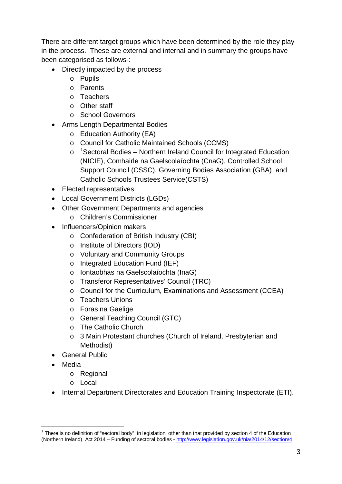There are different target groups which have been determined by the role they play in the process. These are external and internal and in summary the groups have been categorised as follows-:

- Directly impacted by the process
	- o Pupils
	- o Parents
	- o Teachers
	- o Other staff
	- o School Governors
- Arms Length Departmental Bodies
	- o Education Authority (EA)
	- o Council for Catholic Maintained Schools (CCMS)
	- o <sup>[1](#page-2-0)</sup>Sectoral Bodies Northern Ireland Council for Integrated Education (NICIE), Comhairle na Gaelscolaíochta (CnaG), Controlled School Support Council (CSSC), Governing Bodies Association (GBA) and Catholic Schools Trustees Service(CSTS)
- Elected representatives
- Local Government Districts (LGDs)
- Other Government Departments and agencies
	- o Children's Commissioner
- Influencers/Opinion makers
	- o Confederation of British Industry (CBI)
	- o Institute of Directors (IOD)
	- o Voluntary and Community Groups
	- o Integrated Education Fund (IEF)
	- o Iontaobhas na Gaelscolaíochta (InaG)
	- o Transferor Representatives' Council (TRC)
	- o Council for the Curriculum, Examinations and Assessment (CCEA)
	- o Teachers Unions
	- o Foras na Gaelige
	- o General Teaching Council (GTC)
	- o The Catholic Church
	- o 3 Main Protestant churches (Church of Ireland, Presbyterian and Methodist)
- General Public
- **Media** 
	- o Regional
	- o Local
- Internal Department Directorates and Education Training Inspectorate (ETI).

<span id="page-2-0"></span> $<sup>1</sup>$  There is no definition of "sectoral body" in legislation, other than that provided by section 4 of the Education</sup> (Northern Ireland) Act 2014 – Funding of sectoral bodies - <http://www.legislation.gov.uk/nia/2014/12/section/4>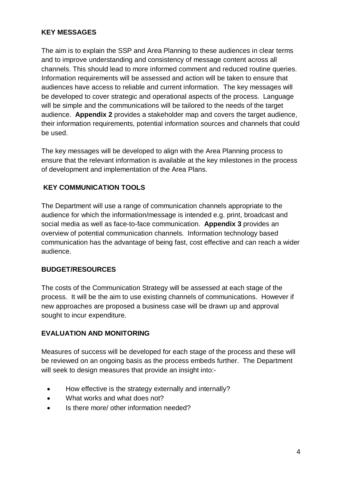## **KEY MESSAGES**

The aim is to explain the SSP and Area Planning to these audiences in clear terms and to improve understanding and consistency of message content across all channels. This should lead to more informed comment and reduced routine queries. Information requirements will be assessed and action will be taken to ensure that audiences have access to reliable and current information. The key messages will be developed to cover strategic and operational aspects of the process. Language will be simple and the communications will be tailored to the needs of the target audience. **Appendix 2** provides a stakeholder map and covers the target audience, their information requirements, potential information sources and channels that could be used.

The key messages will be developed to align with the Area Planning process to ensure that the relevant information is available at the key milestones in the process of development and implementation of the Area Plans.

## **KEY COMMUNICATION TOOLS**

The Department will use a range of communication channels appropriate to the audience for which the information/message is intended e.g. print, broadcast and social media as well as face-to-face communication. **Appendix 3** provides an overview of potential communication channels. Information technology based communication has the advantage of being fast, cost effective and can reach a wider audience.

### **BUDGET/RESOURCES**

The costs of the Communication Strategy will be assessed at each stage of the process. It will be the aim to use existing channels of communications. However if new approaches are proposed a business case will be drawn up and approval sought to incur expenditure.

### **EVALUATION AND MONITORING**

Measures of success will be developed for each stage of the process and these will be reviewed on an ongoing basis as the process embeds further. The Department will seek to design measures that provide an insight into:-

- How effective is the strategy externally and internally?
- What works and what does not?
- Is there more/ other information needed?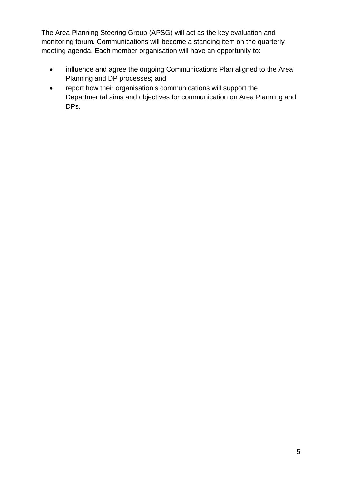The Area Planning Steering Group (APSG) will act as the key evaluation and monitoring forum. Communications will become a standing item on the quarterly meeting agenda. Each member organisation will have an opportunity to:

- influence and agree the ongoing Communications Plan aligned to the Area Planning and DP processes; and
- report how their organisation's communications will support the Departmental aims and objectives for communication on Area Planning and DPs.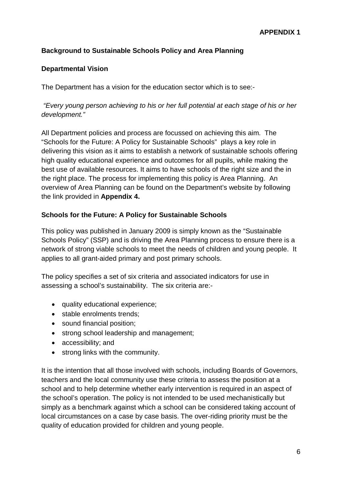## **Background to Sustainable Schools Policy and Area Planning**

#### **Departmental Vision**

The Department has a vision for the education sector which is to see:-

*"Every young person achieving to his or her full potential at each stage of his or her development."*

All Department policies and process are focussed on achieving this aim. The "Schools for the Future: A Policy for Sustainable Schools" plays a key role in delivering this vision as it aims to establish a network of sustainable schools offering high quality educational experience and outcomes for all pupils, while making the best use of available resources. It aims to have schools of the right size and the in the right place. The process for implementing this policy is Area Planning. An overview of Area Planning can be found on the Department's website by following the link provided in **Appendix 4.**

#### **Schools for the Future: A Policy for Sustainable Schools**

This policy was published in January 2009 is simply known as the "Sustainable Schools Policy" (SSP) and is driving the Area Planning process to ensure there is a network of strong viable schools to meet the needs of children and young people. It applies to all grant-aided primary and post primary schools.

The policy specifies a set of six criteria and associated indicators for use in assessing a school's sustainability. The six criteria are:-

- quality educational experience;
- stable enrolments trends;
- sound financial position;
- strong school leadership and management;
- accessibility; and
- strong links with the community.

It is the intention that all those involved with schools, including Boards of Governors, teachers and the local community use these criteria to assess the position at a school and to help determine whether early intervention is required in an aspect of the school's operation. The policy is not intended to be used mechanistically but simply as a benchmark against which a school can be considered taking account of local circumstances on a case by case basis. The over-riding priority must be the quality of education provided for children and young people.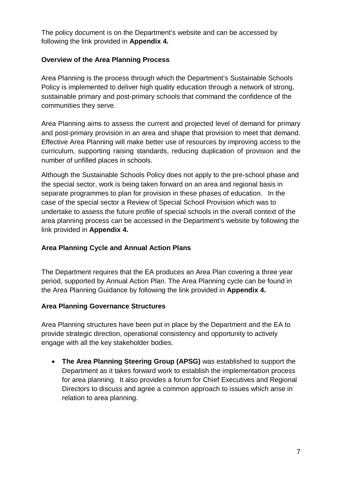The policy document is on the Department's website and can be accessed by following the link provided in **Appendix 4.**

## **Overview of the Area Planning Process**

Area Planning is the process through which the Department's Sustainable Schools Policy is implemented to deliver high quality education through a network of strong, sustainable primary and post-primary schools that command the confidence of the communities they serve.

Area Planning aims to assess the current and projected level of demand for primary and post-primary provision in an area and shape that provision to meet that demand. Effective Area Planning will make better use of resources by improving access to the curriculum, supporting raising standards, reducing duplication of provision and the number of unfilled places in schools.

Although the Sustainable Schools Policy does not apply to the pre-school phase and the special sector, work is being taken forward on an area and regional basis in separate programmes to plan for provision in these phases of education. In the case of the special sector a Review of Special School Provision which was to undertake to assess the future profile of special schools in the overall context of the area planning process can be accessed in the Department's website by following the link provided in **Appendix 4.**

## **Area Planning Cycle and Annual Action Plans**

The Department requires that the EA produces an Area Plan covering a three year period, supported by Annual Action Plan. The Area Planning cycle can be found in the Area Planning Guidance by following the link provided in **Appendix 4.**

### **Area Planning Governance Structures**

Area Planning structures have been put in place by the Department and the EA to provide strategic direction, operational consistency and opportunity to actively engage with all the key stakeholder bodies.

• **The Area Planning Steering Group (APSG)** was established to support the Department as it takes forward work to establish the implementation process for area planning. It also provides a forum for Chief Executives and Regional Directors to discuss and agree a common approach to issues which arise in relation to area planning.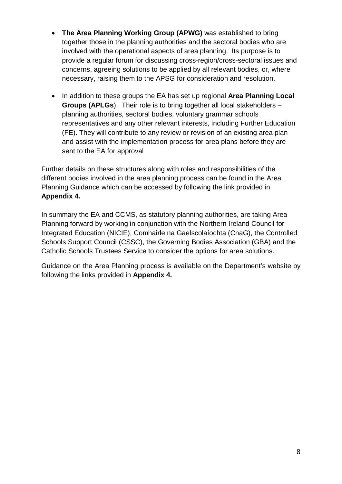- **The Area Planning Working Group (APWG)** was established to bring together those in the planning authorities and the sectoral bodies who are involved with the operational aspects of area planning. Its purpose is to provide a regular forum for discussing cross-region/cross-sectoral issues and concerns, agreeing solutions to be applied by all relevant bodies, or, where necessary, raising them to the APSG for consideration and resolution.
- In addition to these groups the EA has set up regional **Area Planning Local Groups (APLGs**). Their role is to bring together all local stakeholders – planning authorities, sectoral bodies, voluntary grammar schools representatives and any other relevant interests, including Further Education (FE). They will contribute to any review or revision of an existing area plan and assist with the implementation process for area plans before they are sent to the EA for approval

Further details on these structures along with roles and responsibilities of the different bodies involved in the area planning process can be found in the Area Planning Guidance which can be accessed by following the link provided in **Appendix 4.**

In summary the EA and CCMS, as statutory planning authorities, are taking Area Planning forward by working in conjunction with the Northern Ireland Council for Integrated Education (NICIE), Comhairle na Gaelscolaíochta (CnaG), the Controlled Schools Support Council (CSSC), the Governing Bodies Association (GBA) and the Catholic Schools Trustees Service to consider the options for area solutions.

Guidance on the Area Planning process is available on the Department's website by following the links provided in **Appendix 4.**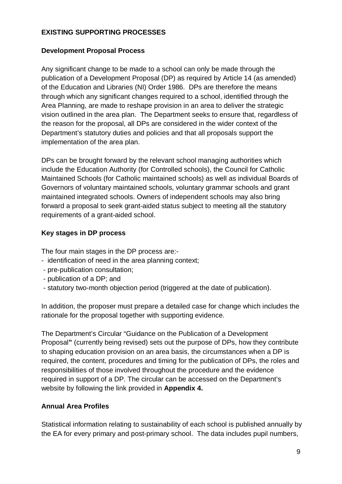## **EXISTING SUPPORTING PROCESSES**

#### **Development Proposal Process**

Any significant change to be made to a school can only be made through the publication of a Development Proposal (DP) as required by Article 14 (as amended) of the Education and Libraries (NI) Order 1986. DPs are therefore the means through which any significant changes required to a school, identified through the Area Planning, are made to reshape provision in an area to deliver the strategic vision outlined in the area plan. The Department seeks to ensure that, regardless of the reason for the proposal, all DPs are considered in the wider context of the Department's statutory duties and policies and that all proposals support the implementation of the area plan.

DPs can be brought forward by the relevant school managing authorities which include the Education Authority (for Controlled schools), the Council for Catholic Maintained Schools (for Catholic maintained schools) as well as individual Boards of Governors of voluntary maintained schools, voluntary grammar schools and grant maintained integrated schools. Owners of independent schools may also bring forward a proposal to seek grant-aided status subject to meeting all the statutory requirements of a grant-aided school.

## **Key stages in DP process**

The four main stages in the DP process are:-

- identification of need in the area planning context;
- pre-publication consultation;
- publication of a DP; and
- statutory two-month objection period (triggered at the date of publication).

In addition, the proposer must prepare a detailed case for change which includes the rationale for the proposal together with supporting evidence.

The Department's Circular "Guidance on the Publication of a Development Proposal**"** (currently being revised) sets out the purpose of DPs, how they contribute to shaping education provision on an area basis, the circumstances when a DP is required, the content, procedures and timing for the publication of DPs, the roles and responsibilities of those involved throughout the procedure and the evidence required in support of a DP. The circular can be accessed on the Department's website by following the link provided in **Appendix 4.**

## **Annual Area Profiles**

Statistical information relating to sustainability of each school is published annually by the EA for every primary and post-primary school. The data includes pupil numbers,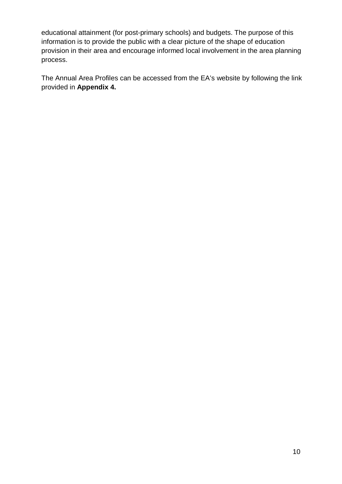educational attainment (for post-primary schools) and budgets. The purpose of this information is to provide the public with a clear picture of the shape of education provision in their area and encourage informed local involvement in the area planning process.

The Annual Area Profiles can be accessed from the EA's website by following the link provided in **Appendix 4.**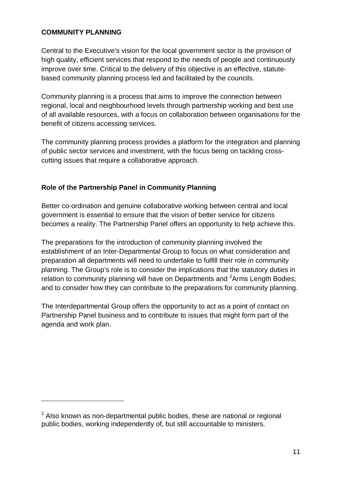#### **COMMUNITY PLANNING**

-

Central to the Executive's vision for the local government sector is the provision of high quality, efficient services that respond to the needs of people and continuously improve over time. Critical to the delivery of this objective is an effective, statutebased community planning process led and facilitated by the councils.

Community planning is a process that aims to improve the connection between regional, local and neighbourhood levels through partnership working and best use of all available resources, with a focus on collaboration between organisations for the benefit of citizens accessing services.

The community planning process provides a platform for the integration and planning of public sector services and investment, with the focus being on tackling crosscutting issues that require a collaborative approach.

## **Role of the Partnership Panel in Community Planning**

Better co-ordination and genuine collaborative working between central and local government is essential to ensure that the vision of better service for citizens becomes a reality. The Partnership Panel offers an opportunity to help achieve this.

The preparations for the introduction of community planning involved the establishment of an Inter-Departmental Group to focus on what consideration and preparation all departments will need to undertake to fulfill their role in community planning. The Group's role is to consider the implications that the statutory duties in relation to community planning will have on Departments and <sup>[2](#page-10-0)</sup>Arms Length Bodies; and to consider how they can contribute to the preparations for community planning.

The Interdepartmental Group offers the opportunity to act as a point of contact on Partnership Panel business and to contribute to issues that might form part of the agenda and work plan.

<span id="page-10-0"></span> $2$  Also known as non-departmental public bodies, these are national or regional public bodies, working independently of, but still accountable to ministers.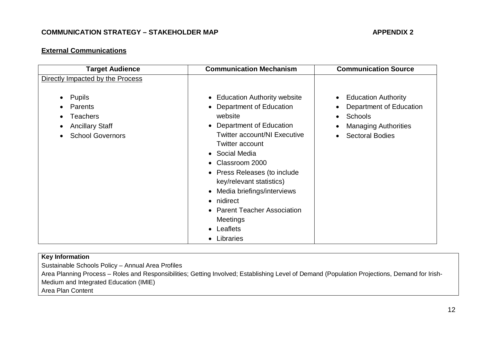## **COMMUNICATION STRATEGY – STAKEHOLDER MAP APPENDIX 2**

#### **External Communications**

| <b>Target Audience</b>                                                                                              | <b>Communication Mechanism</b>                                                                                                                                                                                                                                                                                                                                                                    | <b>Communication Source</b>                                                                                               |
|---------------------------------------------------------------------------------------------------------------------|---------------------------------------------------------------------------------------------------------------------------------------------------------------------------------------------------------------------------------------------------------------------------------------------------------------------------------------------------------------------------------------------------|---------------------------------------------------------------------------------------------------------------------------|
| Directly Impacted by the Process                                                                                    |                                                                                                                                                                                                                                                                                                                                                                                                   |                                                                                                                           |
| Pupils<br>$\bullet$<br>Parents<br><b>Teachers</b><br>$\bullet$<br><b>Ancillary Staff</b><br><b>School Governors</b> | • Education Authority website<br>• Department of Education<br>website<br>• Department of Education<br><b>Twitter account/NI Executive</b><br><b>Twitter account</b><br>• Social Media<br>Classroom 2000<br>• Press Releases (to include<br>key/relevant statistics)<br>• Media briefings/interviews<br>• nidirect<br>• Parent Teacher Association<br><b>Meetings</b><br>• Leaflets<br>• Libraries | <b>Education Authority</b><br>Department of Education<br>Schools<br><b>Managing Authorities</b><br><b>Sectoral Bodies</b> |

#### **Key Information**

Sustainable Schools Policy – Annual Area Profiles

Area Planning Process – Roles and Responsibilities; Getting Involved; Establishing Level of Demand (Population Projections, Demand for Irish-Medium and Integrated Education (IMIE)

Area Plan Content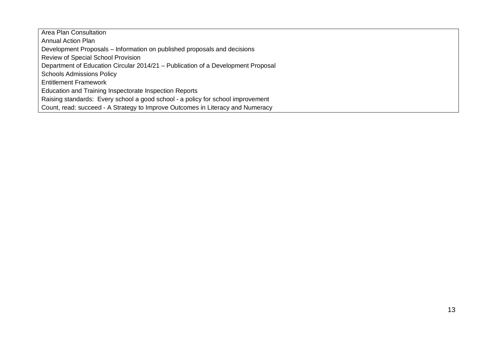Area Plan Consultation Annual Action Plan Development Proposals – Information on published proposals and decisions Review of Special School Provision Department of Education Circular 2014/21 – Publication of a Development Proposal Schools Admissions Policy Entitlement Framework Education and Training Inspectorate Inspection Reports Raising standards: Every school a good school - a policy for school improvement Count, read: succeed - A Strategy to Improve Outcomes in Literacy and Numeracy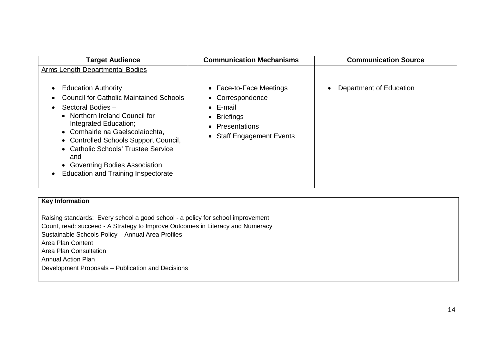| <b>Target Audience</b>                                                                                                                                                                                                                                                                                                                                                 | <b>Communication Mechanisms</b>                                                                                                | <b>Communication Source</b> |
|------------------------------------------------------------------------------------------------------------------------------------------------------------------------------------------------------------------------------------------------------------------------------------------------------------------------------------------------------------------------|--------------------------------------------------------------------------------------------------------------------------------|-----------------------------|
| <b>Arms Length Departmental Bodies</b>                                                                                                                                                                                                                                                                                                                                 |                                                                                                                                |                             |
| <b>Education Authority</b><br><b>Council for Catholic Maintained Schools</b><br>Sectoral Bodies -<br>• Northern Ireland Council for<br>Integrated Education;<br>• Comhairle na Gaelscolaíochta,<br>• Controlled Schools Support Council,<br>• Catholic Schools' Trustee Service<br>and<br>• Governing Bodies Association<br><b>Education and Training Inspectorate</b> | • Face-to-Face Meetings<br>• Correspondence<br>$\bullet$ E-mail<br>• Briefings<br>• Presentations<br>• Staff Engagement Events | Department of Education     |

Raising standards: Every school a good school - a policy for school improvement Count, read: succeed - A Strategy to Improve Outcomes in Literacy and Numeracy Sustainable Schools Policy – Annual Area Profiles Area Plan Content Area Plan Consultation Annual Action Plan Development Proposals – Publication and Decisions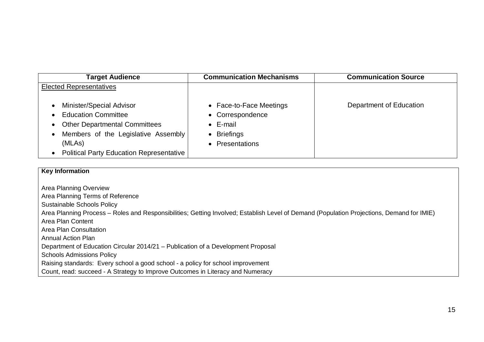| <b>Target Audience</b>                                                                                                                                                                             | <b>Communication Mechanisms</b>                                                                   | <b>Communication Source</b> |
|----------------------------------------------------------------------------------------------------------------------------------------------------------------------------------------------------|---------------------------------------------------------------------------------------------------|-----------------------------|
| <b>Elected Representatives</b>                                                                                                                                                                     |                                                                                                   |                             |
| Minister/Special Advisor<br><b>Education Committee</b><br><b>Other Departmental Committees</b><br>Members of the Legislative Assembly<br>(MLAs)<br><b>Political Party Education Representative</b> | • Face-to-Face Meetings<br>• Correspondence<br>$\bullet$ E-mail<br>• Briefings<br>• Presentations | Department of Education     |

Area Planning Overview Area Planning Terms of Reference Sustainable Schools Policy Area Planning Process – Roles and Responsibilities; Getting Involved; Establish Level of Demand (Population Projections, Demand for IMIE) Area Plan Content Area Plan Consultation Annual Action Plan Department of Education Circular 2014/21 – Publication of a Development Proposal Schools Admissions Policy Raising standards: Every school a good school - a policy for school improvement Count, read: succeed - A Strategy to Improve Outcomes in Literacy and Numeracy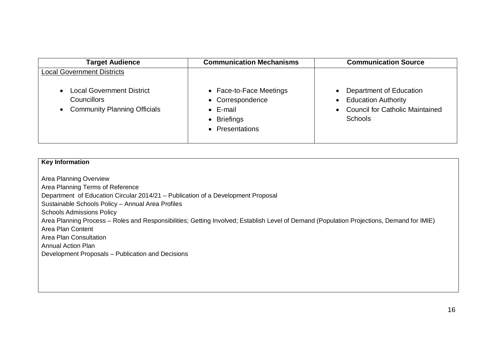| <b>Target Audience</b>                                                                                     | <b>Communication Mechanisms</b>                                                                   | <b>Communication Source</b>                                                                                                                       |
|------------------------------------------------------------------------------------------------------------|---------------------------------------------------------------------------------------------------|---------------------------------------------------------------------------------------------------------------------------------------------------|
| <b>Local Government Districts</b>                                                                          |                                                                                                   |                                                                                                                                                   |
| <b>Local Government District</b><br><b>Councillors</b><br><b>Community Planning Officials</b><br>$\bullet$ | • Face-to-Face Meetings<br>• Correspondence<br>$\bullet$ E-mail<br>• Briefings<br>• Presentations | Department of Education<br>$\bullet$<br><b>Education Authority</b><br>$\bullet$<br><b>Council for Catholic Maintained</b><br>$\bullet$<br>Schools |

| <b>Key Information</b>                                                                                                                                                                                                                                                                                                                                                                                                                                                                                                |
|-----------------------------------------------------------------------------------------------------------------------------------------------------------------------------------------------------------------------------------------------------------------------------------------------------------------------------------------------------------------------------------------------------------------------------------------------------------------------------------------------------------------------|
| Area Planning Overview<br>Area Planning Terms of Reference<br>Department of Education Circular 2014/21 – Publication of a Development Proposal<br>Sustainable Schools Policy - Annual Area Profiles<br><b>Schools Admissions Policy</b><br>Area Planning Process - Roles and Responsibilities; Getting Involved; Establish Level of Demand (Population Projections, Demand for IMIE)<br>Area Plan Content<br>Area Plan Consultation<br><b>Annual Action Plan</b><br>Development Proposals - Publication and Decisions |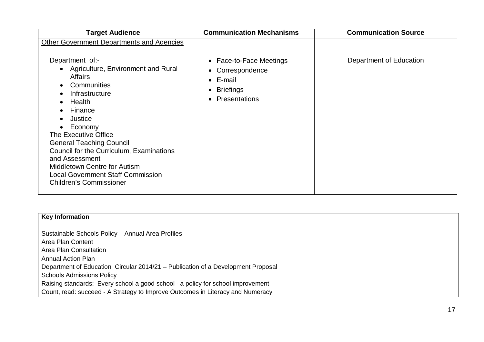Sustainable Schools Policy – Annual Area Profiles Area Plan Content Area Plan Consultation Annual Action Plan Department of Education Circular 2014/21 – Publication of a Development Proposal Schools Admissions Policy Raising standards: Every school a good school - a policy for school improvement Count, read: succeed - A Strategy to Improve Outcomes in Literacy and Numeracy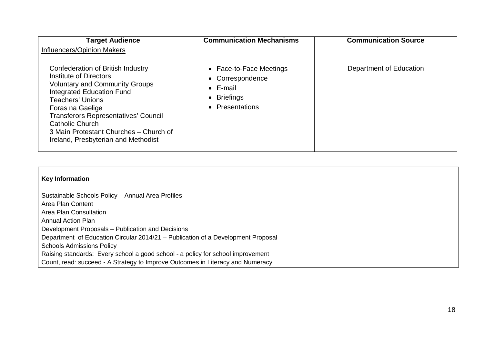| <b>Target Audience</b>                                                                                                                                                                                                                                                                                                                                                          | <b>Communication Mechanisms</b>                                                                   | <b>Communication Source</b> |
|---------------------------------------------------------------------------------------------------------------------------------------------------------------------------------------------------------------------------------------------------------------------------------------------------------------------------------------------------------------------------------|---------------------------------------------------------------------------------------------------|-----------------------------|
| <b>Influencers/Opinion Makers</b><br>Confederation of British Industry<br>Institute of Directors<br><b>Voluntary and Community Groups</b><br><b>Integrated Education Fund</b><br><b>Teachers' Unions</b><br>Foras na Gaelige<br><b>Transferors Representatives' Council</b><br>Catholic Church<br>3 Main Protestant Churches – Church of<br>Ireland, Presbyterian and Methodist | • Face-to-Face Meetings<br>• Correspondence<br>$\bullet$ E-mail<br>• Briefings<br>• Presentations | Department of Education     |
|                                                                                                                                                                                                                                                                                                                                                                                 |                                                                                                   |                             |

Sustainable Schools Policy – Annual Area Profiles Area Plan Content Area Plan Consultation Annual Action Plan Development Proposals – Publication and Decisions Department of Education Circular 2014/21 – Publication of a Development Proposal Schools Admissions Policy Raising standards: Every school a good school - a policy for school improvement Count, read: succeed - A Strategy to Improve Outcomes in Literacy and Numeracy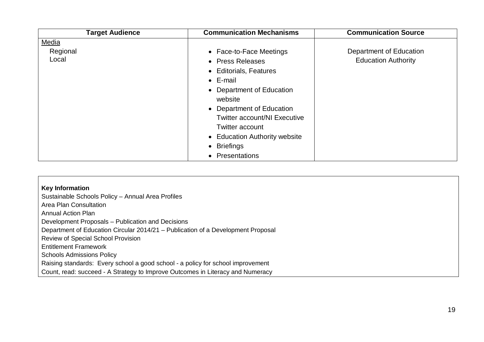| <b>Target Audience</b> | <b>Communication Mechanisms</b>     | <b>Communication Source</b> |
|------------------------|-------------------------------------|-----------------------------|
| Media                  |                                     |                             |
| Regional               | • Face-to-Face Meetings             | Department of Education     |
| Local                  | • Press Releases                    | <b>Education Authority</b>  |
|                        | • Editorials, Features              |                             |
|                        | $\bullet$ E-mail                    |                             |
|                        | • Department of Education           |                             |
|                        | website                             |                             |
|                        | • Department of Education           |                             |
|                        | <b>Twitter account/NI Executive</b> |                             |
|                        | <b>Twitter account</b>              |                             |
|                        | • Education Authority website       |                             |
|                        | • Briefings                         |                             |
|                        | Presentations                       |                             |

| <b>Key Information</b>                                                           |
|----------------------------------------------------------------------------------|
| Sustainable Schools Policy - Annual Area Profiles                                |
| Area Plan Consultation                                                           |
| <b>Annual Action Plan</b>                                                        |
| Development Proposals – Publication and Decisions                                |
| Department of Education Circular 2014/21 – Publication of a Development Proposal |
| Review of Special School Provision                                               |
| <b>Entitlement Framework</b>                                                     |
| <b>Schools Admissions Policy</b>                                                 |
| Raising standards: Every school a good school - a policy for school improvement  |
| Count, read: succeed - A Strategy to Improve Outcomes in Literacy and Numeracy   |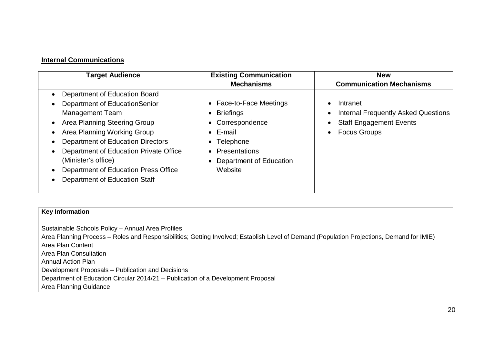#### **Internal Communications**

| <b>Target Audience</b>                                                                                                                                                                                                                                                                                                                 | <b>Existing Communication</b><br><b>Mechanisms</b>                                                                                                   | <b>New</b><br><b>Communication Mechanisms</b>                                                                                                                       |
|----------------------------------------------------------------------------------------------------------------------------------------------------------------------------------------------------------------------------------------------------------------------------------------------------------------------------------------|------------------------------------------------------------------------------------------------------------------------------------------------------|---------------------------------------------------------------------------------------------------------------------------------------------------------------------|
| Department of Education Board<br>Department of EducationSenior<br><b>Management Team</b><br>Area Planning Steering Group<br>Area Planning Working Group<br>Department of Education Directors<br>Department of Education Private Office<br>(Minister's office)<br>Department of Education Press Office<br>Department of Education Staff | • Face-to-Face Meetings<br>• Briefings<br>Correspondence<br>$\bullet$ E-mail<br>• Telephone<br>• Presentations<br>Department of Education<br>Website | Intranet<br>$\bullet$<br><b>Internal Frequently Asked Questions</b><br>$\bullet$<br><b>Staff Engagement Events</b><br>$\bullet$<br><b>Focus Groups</b><br>$\bullet$ |

#### **Key Information**

Sustainable Schools Policy – Annual Area Profiles Area Planning Process – Roles and Responsibilities; Getting Involved; Establish Level of Demand (Population Projections, Demand for IMIE) Area Plan Content Area Plan Consultation Annual Action Plan Development Proposals – Publication and Decisions Department of Education Circular 2014/21 – Publication of a Development Proposal Area Planning Guidance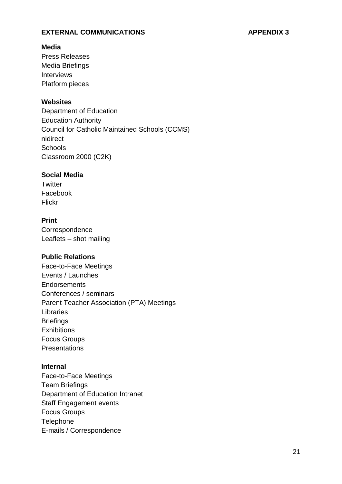#### **EXTERNAL COMMUNICATIONS APPENDIX 3**

#### **Media**

Press Releases Media Briefings Interviews Platform pieces

#### **Websites**

Department of Education Education Authority Council for Catholic Maintained Schools (CCMS) nidirect **Schools** Classroom 2000 (C2K)

#### **Social Media**

**Twitter** Facebook Flickr

### **Print**

**Correspondence** Leaflets – shot mailing

### **Public Relations**

Face-to-Face Meetings Events / Launches **Endorsements** Conferences / seminars Parent Teacher Association (PTA) Meetings Libraries **Briefings Exhibitions** Focus Groups **Presentations** 

#### **Internal**

Face-to-Face Meetings Team Briefings Department of Education Intranet Staff Engagement events Focus Groups **Telephone** E-mails / Correspondence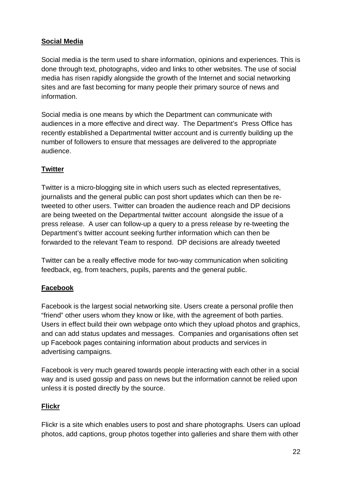## **Social Media**

Social media is the term used to share information, opinions and experiences. This is done through text, photographs, video and links to other websites. The use of social media has risen rapidly alongside the growth of the Internet and social networking sites and are fast becoming for many people their primary source of news and information.

Social media is one means by which the Department can communicate with audiences in a more effective and direct way. The Department's Press Office has recently established a Departmental twitter account and is currently building up the number of followers to ensure that messages are delivered to the appropriate audience.

## **Twitter**

Twitter is a micro-blogging site in which users such as elected representatives, journalists and the general public can post short updates which can then be retweeted to other users. Twitter can broaden the audience reach and DP decisions are being tweeted on the Departmental twitter account alongside the issue of a press release. A user can follow-up a query to a press release by re-tweeting the Department's twitter account seeking further information which can then be forwarded to the relevant Team to respond. DP decisions are already tweeted

Twitter can be a really effective mode for two-way communication when soliciting feedback, eg, from teachers, pupils, parents and the general public.

## **Facebook**

Facebook is the largest social networking site. Users create a personal profile then "friend" other users whom they know or like, with the agreement of both parties. Users in effect build their own webpage onto which they upload photos and graphics, and can add status updates and messages. Companies and organisations often set up Facebook pages containing information about products and services in advertising campaigns.

Facebook is very much geared towards people interacting with each other in a social way and is used gossip and pass on news but the information cannot be relied upon unless it is posted directly by the source.

## **Flickr**

Flickr is a site which enables users to post and share photographs. Users can upload photos, add captions, group photos together into galleries and share them with other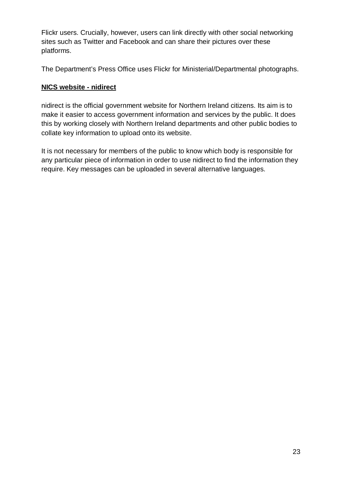Flickr users. Crucially, however, users can link directly with other social networking sites such as Twitter and Facebook and can share their pictures over these platforms.

The Department's Press Office uses Flickr for Ministerial/Departmental photographs.

## **NICS website - nidirect**

nidirect is the official government website for Northern Ireland citizens. Its aim is to make it easier to access government information and services by the public. It does this by working closely with Northern Ireland departments and other public bodies to collate key information to upload onto its website.

It is not necessary for members of the public to know which body is responsible for any particular piece of information in order to use nidirect to find the information they require. Key messages can be uploaded in several alternative languages.